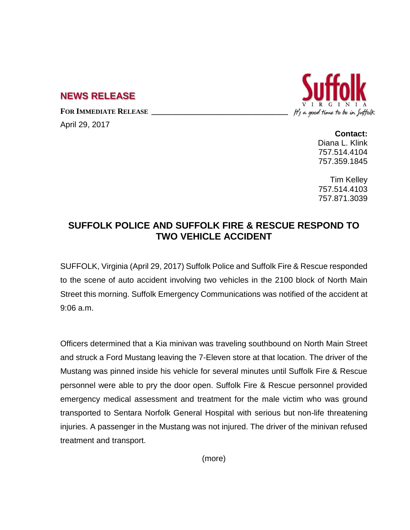## **NEWS RELEASE**

**FOR IMMEDIATE RELEASE \_\_\_\_\_\_\_\_\_\_\_\_\_\_\_\_\_\_\_\_\_\_\_\_\_\_\_\_\_\_\_\_\_\_**

April 29, 2017



**Contact:** Diana L. Klink 757.514.4104 757.359.1845

Tim Kelley 757.514.4103 757.871.3039

## **SUFFOLK POLICE AND SUFFOLK FIRE & RESCUE RESPOND TO TWO VEHICLE ACCIDENT**

SUFFOLK, Virginia (April 29, 2017) Suffolk Police and Suffolk Fire & Rescue responded to the scene of auto accident involving two vehicles in the 2100 block of North Main Street this morning. Suffolk Emergency Communications was notified of the accident at 9:06 a.m.

Officers determined that a Kia minivan was traveling southbound on North Main Street and struck a Ford Mustang leaving the 7-Eleven store at that location. The driver of the Mustang was pinned inside his vehicle for several minutes until Suffolk Fire & Rescue personnel were able to pry the door open. Suffolk Fire & Rescue personnel provided emergency medical assessment and treatment for the male victim who was ground transported to Sentara Norfolk General Hospital with serious but non-life threatening injuries. A passenger in the Mustang was not injured. The driver of the minivan refused treatment and transport.

(more)